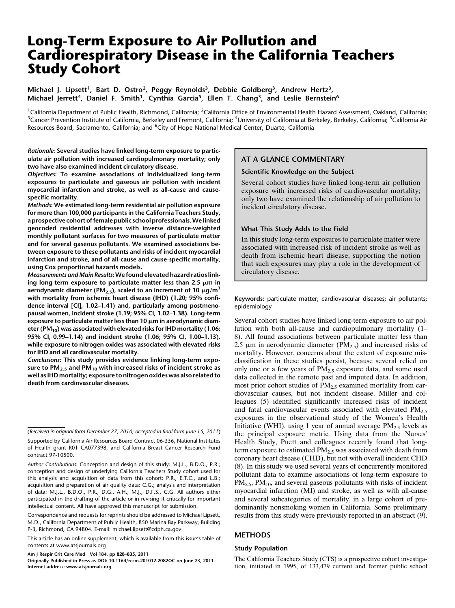# Long-Term Exposure to Air Pollution and Cardiorespiratory Disease in the California Teachers Study Cohort

# Michael J. Lipsett<sup>1</sup>, Bart D. Ostro<sup>2</sup>, Peggy Reynolds<sup>3</sup>, Debbie Goldberg<sup>3</sup>, Andrew Hertz<sup>3</sup>, Michael Jerrett<sup>4</sup>, Daniel F. Smith<sup>1</sup>, Cynthia Garcia<sup>5</sup>, Ellen T. Chang<sup>3</sup>, and Leslie Bernstein<sup>6</sup>

<sup>1</sup>California Department of Public Health, Richmond, California; <sup>2</sup>California Office of Environmental Health Hazard Assessment, Oakland, California;<br><sup>3</sup>Cancer Prevention Institute of California, Berkeley and Fremont, Cali Cancer Prevention Institute of California, Berkeley and Fremont, California; <sup>4</sup>University of California at Berkeley, Berkeley, California; <sup>5</sup>California Air Resources Board, Sacramento, California; and <sup>6</sup>City of Hope National Medical Center, Duarte, California

Rationale: Several studies have linked long-term exposure to particulate air pollution with increased cardiopulmonary mortality; only two have also examined incident circulatory disease.

Objectives: To examine associations of individualized long-term exposures to particulate and gaseous air pollution with incident myocardial infarction and stroke, as well as all-cause and causespecific mortality.

Methods: We estimated long-term residential air pollution exposure for more than 100,000 participants in the California Teachers Study, a prospective cohort of female public school professionals.We linked geocoded residential addresses with inverse distance-weighted monthly pollutant surfaces for two measures of particulate matter and for several gaseous pollutants. We examined associations between exposure to these pollutants and risks of incident myocardial infarction and stroke, and of all-cause and cause-specific mortality, using Cox proportional hazards models.

Measurements and Main Results: We found elevated hazard ratios linking long-term exposure to particulate matter less than 2.5  $\mu$ m in aerodynamic diameter (PM<sub>2.5</sub>), scaled to an increment of 10  $\mu$ g/m<sup>3</sup> with mortality from ischemic heart disease (IHD) (1.20; 95% confidence interval [CI], 1.02–1.41) and, particularly among postmenopausal women, incident stroke (1.19; 95% CI, 1.02–1.38). Long-term exposure to particulate matter less than 10  $\mu$ m in aerodynamic diameter (PM<sub>10</sub>) was associated with elevated risks for IHD mortality (1.06; 95% CI, 0.99–1.14) and incident stroke (1.06; 95% CI, 1.00–1.13), while exposure to nitrogen oxides was associated with elevated risks for IHD and all cardiovascular mortality.

Conclusions: This study provides evidence linking long-term exposure to  $PM_{2.5}$  and  $PM_{10}$  with increased risks of incident stroke as well as IHDmortality; exposure to nitrogen oxides was also related to death from cardiovascular diseases.

Am J Respir Crit Care Med Vol 184. pp 828–835, 2011

# AT A GLANCE COMMENTARY

## Scientific Knowledge on the Subject

Several cohort studies have linked long-term air pollution exposure with increased risks of cardiovascular mortality; only two have examined the relationship of air pollution to incident circulatory disease.

## What This Study Adds to the Field

In this study long-term exposures to particulate matter were associated with increased risk of incident stroke as well as death from ischemic heart disease, supporting the notion that such exposures may play a role in the development of circulatory disease.

Keywords: particulate matter; cardiovascular diseases; air pollutants; epidemiology

Several cohort studies have linked long-term exposure to air pollution with both all-cause and cardiopulmonary mortality (1– 8). All found associations between particulate matter less than 2.5  $\mu$ m in aerodynamic diameter (PM<sub>2.5</sub>) and increased risks of mortality. However, concerns about the extent of exposure misclassification in these studies persist, because several relied on only one or a few years of  $PM<sub>2.5</sub>$  exposure data, and some used data collected in the remote past and imputed data. In addition, most prior cohort studies of PM<sub>2.5</sub> examined mortality from cardiovascular causes, but not incident disease. Miller and colleagues (5) identified significantly increased risks of incident and fatal cardiovascular events associated with elevated  $PM_{2.5}$ exposures in the observational study of the Women's Health Initiative (WHI), using 1 year of annual average  $PM_{2.5}$  levels as the principal exposure metric. Using data from the Nurses' Health Study, Puett and colleagues recently found that longterm exposure to estimated  $PM_{2.5}$  was associated with death from coronary heart disease (CHD), but not with overall incident CHD (8). In this study we used several years of concurrently monitored pollutant data to examine associations of long-term exposure to  $PM_{2.5}$ ,  $PM_{10}$ , and several gaseous pollutants with risks of incident myocardial infarction (MI) and stroke, as well as with all-cause and several subcategories of mortality, in a large cohort of predominantly nonsmoking women in California. Some preliminary results from this study were previously reported in an abstract (9).

# **METHODS**

## Study Population

The California Teachers Study (CTS) is a prospective cohort investigation, initiated in 1995, of 133,479 current and former public school

<sup>(</sup>Received in original form December 27, 2010; accepted in final form June 15, 2011)

Supported by California Air Resources Board Contract 06-336, National Institutes of Health grant R01 CA077398, and California Breast Cancer Research Fund contract 97-10500.

Author Contributions: Conception and design of this study: M.J.L., B.D.O., P.R.; conception and design of underlying California Teachers Study cohort used for this analysis and acquisition of data from this cohort: P.R., E.T.C., and L.B.; acquisition and preparation of air quality data: C.G.; analysis and interpretation of data: M.J.L., B.D.O., P.R., D.G., A.H., M.J., D.F.S., C.G. All authors either participated in the drafting of the article or in revising it critically for important intellectual content. All have approved this manuscript for submission.

Correspondence and requests for reprints should be addressed to Michael Lipsett, M.D., California Department of Public Health, 850 Marina Bay Parkway, Building P-3, Richmond, CA 94804. E-mail: [michael.lipsett@cdph.ca.gov](mailto:michael.lipsett@cdph.ca.gov)

This article has an online supplement, which is available from this issue's table of contents at<www.atsjournals.org>

Originally Published in Press as DOI: 10.1164/rccm.201012-2082OC on June 23, 2011 Internet address: www.atsjournals.org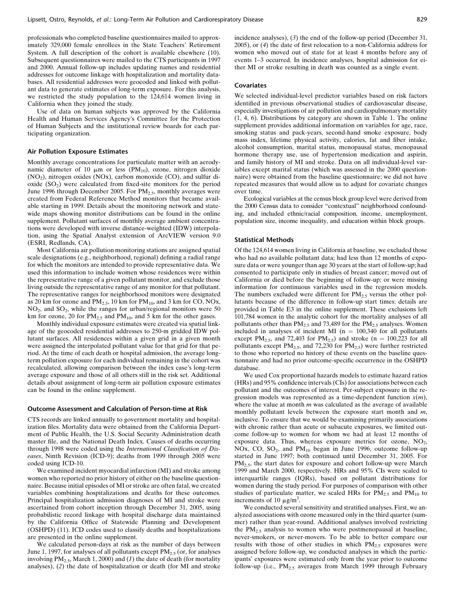professionals who completed baseline questionnaires mailed to approximately 329,000 female enrollees in the State Teachers' Retirement System. A full description of the cohort is available elsewhere (10). Subsequent questionnaires were mailed to the CTS participants in 1997 and 2000. Annual follow-up includes updating names and residential addresses for outcome linkage with hospitalization and mortality databases. All residential addresses were geocoded and linked with pollutant data to generate estimates of long-term exposure. For this analysis, we restricted the study population to the 124,614 women living in California when they joined the study.

Use of data on human subjects was approved by the California Health and Human Services Agency's Committee for the Protection of Human Subjects and the institutional review boards for each participating organization.

## Air Pollution Exposure Estimates

Monthly average concentrations for particulate matter with an aerodynamic diameter of 10  $\mu$ m or less (PM<sub>10</sub>), ozone, nitrogen dioxide  $(NO<sub>2</sub>)$ , nitrogen oxides  $(NOx)$ , carbon monoxide  $(CO)$ , and sulfur dioxide  $(SO<sub>2</sub>)$  were calculated from fixed-site monitors for the period June 1996 through December 2005. For  $PM<sub>2.5</sub>$ , monthly averages were created from Federal Reference Method monitors that became available starting in 1999. Details about the monitoring network and statewide maps showing monitor distributions can be found in the online supplement. Pollutant surfaces of monthly average ambient concentrations were developed with inverse distance-weighted (IDW) interpolation, using the Spatial Analyst extension of ArcVIEW version 9.0 (ESRI, Redlands, CA).

Most California air pollution monitoring stations are assigned spatial scale designations (e.g., neighborhood, regional) defining a radial range for which the monitors are intended to provide representative data. We used this information to include women whose residences were within the representative range of a given pollutant monitor, and exclude those living outside the representative range of any monitor for that pollutant. The representative ranges for neighborhood monitors were designated as 20 km for ozone and  $PM_{2.5}$ , 10 km for  $PM_{10}$ , and 3 km for CO, NOx,  $NO<sub>2</sub>$ , and  $SO<sub>2</sub>$ , while the ranges for urban/regional monitors were 50 km for ozone, 20 for  $PM_{2.5}$  and  $PM_{10}$ , and 5 km for the other gases.

Monthly individual exposure estimates were created via spatial linkage of the geocoded residential addresses to 250-m gridded IDW pollutant surfaces. All residences within a given grid in a given month were assigned the interpolated pollutant value for that grid for that period. At the time of each death or hospital admission, the average longterm pollution exposure for each individual remaining in the cohort was recalculated, allowing comparison between the index case's long-term average exposure and those of all others still in the risk set. Additional details about assignment of long-term air pollution exposure estimates can be found in the online supplement.

#### Outcome Assessment and Calculation of Person-time at Risk

CTS records are linked annually to government mortality and hospitalization files. Mortality data were obtained from the California Department of Public Health, the U.S. Social Security Administration death master file, and the National Death Index. Causes of deaths occurring through 1998 were coded using the International Classification of Diseases, Ninth Revision (ICD-9); deaths from 1999 through 2005 were coded using ICD-10.

We examined incident myocardial infarction (MI) and stroke among women who reported no prior history of either on the baseline questionnaire. Because initial episodes of MI or stroke are often fatal, we created variables combining hospitalizations and deaths for these outcomes. Principal hospitalization admission diagnoses of MI and stroke were ascertained from cohort inception through December 31, 2005, using probabilistic record linkage with hospital discharge data maintained by the California Office of Statewide Planning and Development (OSHPD) (11). ICD codes used to classify deaths and hospitalizations are presented in the online supplement.

We calculated person-days at risk as the number of days between June 1, 1997, for analyses of all pollutants except  $PM_{2.5}$  (or, for analyses involving  $PM_{2.5}$ , March 1, 2000) and (1) the date of death (for mortality analyses), (2) the date of hospitalization or death (for MI and stroke

incidence analyses), (3) the end of the follow-up period (December 31, 2005), or (4) the date of first relocation to a non-California address for women who moved out of state for at least 4 months before any of events 1–3 occurred. In incidence analyses, hospital admission for either MI or stroke resulting in death was counted as a single event.

## Covariates

We selected individual-level predictor variables based on risk factors identified in previous observational studies of cardiovascular disease, especially investigations of air pollution and cardiopulmonary mortality (1, 4, 6). Distributions by category are shown in Table 1. The online supplement provides additional information on variables for age, race, smoking status and pack-years, second-hand smoke exposure, body mass index, lifetime physical activity, calories, fat and fiber intake, alcohol consumption, marital status, menopausal status, menopausal hormone therapy use, use of hypertension medication and aspirin, and family history of MI and stroke. Data on all individual-level variables except marital status (which was assessed in the 2000 questionnaire) were obtained from the baseline questionnaire; we did not have repeated measures that would allow us to adjust for covariate changes over time.

Ecological variables at the census block group level were derived from the 2000 Census data to consider "contextual" neighborhood confounding, and included ethnic/racial composition, income, unemployment, population size, income inequality, and education within block groups.

#### Statistical Methods

Of the 124,614 women living in California at baseline, we excluded those who had no available pollutant data; had less than 12 months of exposure data or were younger than age 30 years at the start of follow-up; had consented to participate only in studies of breast cancer; moved out of California or died before the beginning of follow-up; or were missing information for continuous variables used in the regression models. The numbers excluded were different for  $PM_{2.5}$  versus the other pollutants because of the difference in follow-up start times: details are provided in Table E3 in the online supplement. These exclusions left 101,784 women in the analytic cohort for the mortality analyses of all pollutants other than  $PM_{2.5}$  and 73,489 for the  $PM_{2.5}$  analyses. Women included in analyses of incident MI ( $n = 100,340$  for all pollutants except PM<sub>2.5</sub>, and 72,403 for PM<sub>2.5</sub>) and stroke (n = 100,223 for all pollutants except  $PM_{2.5}$ , and 72,230 for  $PM_{2.5}$ ) were further restricted to those who reported no history of these events on the baseline questionnaire and had no prior outcome-specific occurrence in the OSHPD database.

We used Cox proportional hazards models to estimate hazard ratios (HRs) and 95% confidence intervals (CIs) for associations between each pollutant and the outcomes of interest. Per-subject exposure in the regression models was represented as a time-dependent function  $x(m)$ , where the value at month  $m$  was calculated as the average of available monthly pollutant levels between the exposure start month and m, inclusive. To ensure that we would be examining primarily associations with chronic rather than acute or subacute exposures, we limited outcome follow-up to women for whom we had at least 12 months of exposure data. Thus, whereas exposure metrics for ozone,  $NO<sub>2</sub>$ , NOx, CO,  $SO_2$ , and  $PM_{10}$  began in June 1996, outcome follow-up started in June 1997; both continued until December 31, 2005. For PM<sub>2.5</sub>, the start dates for exposure and cohort follow-up were March 1999 and March 2000, respectively. HRs and 95% CIs were scaled to interquartile ranges (IQRs), based on pollutant distributions for women during the study period. For purposes of comparison with other studies of particulate matter, we scaled HRs for  $PM_{2.5}$  and  $PM_{10}$  to increments of 10  $\mu$ g/m<sup>3</sup>.

We conducted several sensitivity and stratified analyses. First, we analyzed associations with ozone measured only in the third quarter (summer) rather than year-round. Additional analyses involved restricting the  $PM_{2.5}$  analysis to women who were postmenopausal at baseline, never-smokers, or never-movers. To be able to better compare our results with those of other studies in which  $PM_{2.5}$  exposures were assigned before follow-up, we conducted analyses in which the participants' exposures were estimated only from the year prior to outcome follow-up (i.e.,  $PM_{2.5}$  averages from March 1999 through February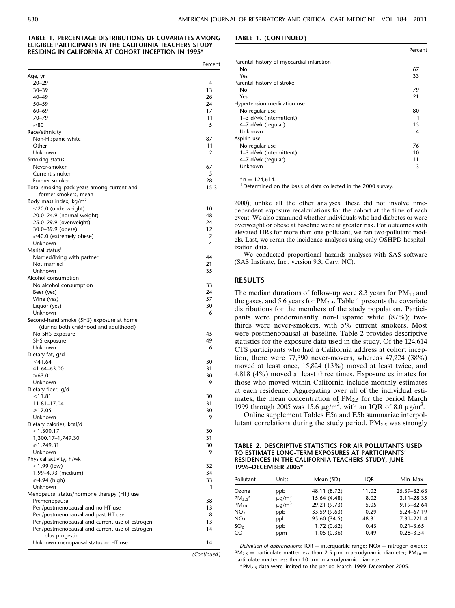## TABLE 1. PERCENTAGE DISTRIBUTIONS OF COVARIATES AMONG ELIGIBLE PARTICIPANTS IN THE CALIFORNIA TEACHERS STUDY RESIDING IN CALIFORNIA AT COHORT INCEPTION IN 1995\*

|                                                             | Percent     |
|-------------------------------------------------------------|-------------|
| Age, yr                                                     |             |
| 20–29                                                       | 4           |
| 30–39                                                       | 13          |
| $40 - 49$                                                   | 26          |
| 50–59                                                       | 24          |
| 60–69                                                       | 17          |
| 70-79                                                       | 11          |
| $\geq 80$                                                   | 5           |
| Race/ethnicity                                              | 87          |
| Non-Hispanic white<br>Other                                 | 11          |
| Unknown                                                     | 2           |
| Smoking status                                              |             |
| Never-smoker                                                | 67          |
| Current smoker                                              | 5           |
| Former smoker                                               | 28          |
| Total smoking pack-years among current and                  | 15.3        |
| former smokers, mean                                        |             |
| Body mass index, kg/m <sup>2</sup>                          |             |
| $<$ 20.0 (underweight)                                      | 10          |
| 20.0-24.9 (normal weight)                                   | 48          |
| 25.0-29.9 (overweight)                                      | 24          |
| 30.0-39.9 (obese)                                           | 12          |
| ≥40.0 (extremely obese)                                     | 2           |
| Unknown                                                     | 4           |
| Marital status <sup>T</sup>                                 |             |
| Married/living with partner<br>Not married                  | 44<br>21    |
| Unknown                                                     | 35          |
| Alcohol consumption                                         |             |
| No alcohol consumption                                      | 33          |
| Beer (yes)                                                  | 24          |
| Wine (yes)                                                  | 57          |
| Liquor (yes)                                                | 30          |
| Unknown                                                     | 6           |
| Second-hand smoke (SHS) exposure at home                    |             |
| (during both childhood and adulthood)                       |             |
| No SHS exposure                                             | 45          |
| SHS exposure                                                | 49          |
| Unknown                                                     | 6           |
| Dietary fat, g/d                                            | 30          |
| $<$ 41.64<br>41.64-63.00                                    | 31          |
| ≥63.01                                                      | 30          |
| Unknown                                                     | 9           |
| Dietary fiber, g/d                                          |             |
| $<$ 11.81                                                   | 30          |
| 11.81-17.04                                                 | 31          |
| ≥17.05                                                      | 30          |
| Unknown                                                     | 9           |
| Dietary calories, kcal/d                                    |             |
| $<$ 1,300.17                                                | 30          |
| 1,300.17–1,749.30                                           | 31          |
| ≥1,749.31                                                   | 30          |
| Unknown                                                     | 9           |
| Physical activity, h/wk                                     |             |
| $<$ 1.99 (low)                                              | 32          |
| 1.99-4.93 (medium)                                          | 34          |
| ≥4.94 (high)                                                | 33          |
| Unknown                                                     | 1           |
| Menopausal status/hormone therapy (HT) use<br>Premenopausal | 38          |
| Peri/postmenopausal and no HT use                           | 13          |
| Peri/postmenopausal and past HT use                         | 8           |
| Peri/postmenopausal and current use of estrogen             | 13          |
| Peri/postmenopausal and current use of estrogen             | 14          |
| plus progestin                                              |             |
| Unknown menopausal status or HT use                         | 14          |
|                                                             | (Continued) |

TABLE 1. (CONTINUED )

|                                           | Percent |
|-------------------------------------------|---------|
| Parental history of myocardial infarction |         |
| No                                        | 67      |
| Yes                                       | 33      |
| Parental history of stroke                |         |
| No                                        | 79      |
| Yes                                       | 21      |
| Hypertension medication use               |         |
| No regular use                            | 80      |
| 1-3 d/wk (intermittent)                   |         |
| 4-7 d/wk (regular)                        | 15      |
| Unknown                                   | 4       |
| Aspirin use                               |         |
| No regular use                            | 76      |
| 1-3 d/wk (intermittent)                   | 10      |
| 4-7 d/wk (regular)                        | 11      |
| Unknown                                   | 3       |

\* n = 124,614.<br><sup>†</sup> Determined on the basis of data collected in the 2000 survey.

2000); unlike all the other analyses, these did not involve timedependent exposure recalculations for the cohort at the time of each event. We also examined whether individuals who had diabetes or were overweight or obese at baseline were at greater risk. For outcomes with elevated HRs for more than one pollutant, we ran two-pollutant models. Last, we reran the incidence analyses using only OSHPD hospitalization data.

We conducted proportional hazards analyses with SAS software (SAS Institute, Inc., version 9.3, Cary, NC).

## RESULTS

The median durations of follow-up were 8.3 years for  $PM_{10}$  and the gases, and 5.6 years for  $PM_{2.5}$ . Table 1 presents the covariate distributions for the members of the study population. Participants were predominantly non-Hispanic white (87%); twothirds were never-smokers, with 5% current smokers. Most were postmenopausal at baseline. Table 2 provides descriptive statistics for the exposure data used in the study. Of the 124,614 CTS participants who had a California address at cohort inception, there were 77,390 never-movers, whereas 47,224 (38%) moved at least once, 15,824 (13%) moved at least twice, and 4,818 (4%) moved at least three times. Exposure estimates for those who moved within California include monthly estimates at each residence. Aggregating over all of the individual estimates, the mean concentration of  $PM_{2.5}$  for the period March 1999 through 2005 was 15.6  $\mu$ g/m<sup>3</sup>, with an IQR of 8.0  $\mu$ g/m<sup>3</sup>.

Online supplement Tables E5a and E5b summarize interpollutant correlations during the study period.  $PM_{2.5}$  was strongly

TABLE 2. DESCRIPTIVE STATISTICS FOR AIR POLLUTANTS USED TO ESTIMATE LONG-TERM EXPOSURES AT PARTICIPANTS' RESIDENCES IN THE CALIFORNIA TEACHERS STUDY, JUNE 1996–DECEMBER 2005\*

| Pollutant       | Units       | Mean (SD)    | <b>IQR</b> | Min-Max        |
|-----------------|-------------|--------------|------------|----------------|
| Ozone           | ppb         | 48.11 (8.72) | 11.02      | 25.39-82.63    |
| $PM_2 \simeq$   | $\mu q/m^3$ | 15.64 (4.48) | 8.02       | $3.11 - 28.35$ |
| $PM_{10}$       | $\mu q/m^3$ | 29.21 (9.73) | 15.05      | 9.19-82.64     |
| NO <sub>2</sub> | ppb         | 33.59 (9.63) | 10.29      | 5.24-67.19     |
| <b>NOx</b>      | ppb         | 95.60 (34.5) | 48.31      | $7.31 - 221.4$ |
| SO <sub>2</sub> | ppb         | 1.72(0.62)   | 0.43       | $0.21 - 3.65$  |
| CO              | ppm         | 1.05(0.36)   | 0.49       | $0.28 - 3.34$  |

Definition of abbreviations:  $IQR =$  interguartile range; NOx  $=$  nitrogen oxides; PM<sub>2.5</sub> = particulate matter less than 2.5  $\mu$ m in aerodynamic diameter; PM<sub>10</sub> = particulate matter less than 10  $\mu$ m in aerodynamic diameter.

\* PM2.5 data were limited to the period March 1999–December 2005.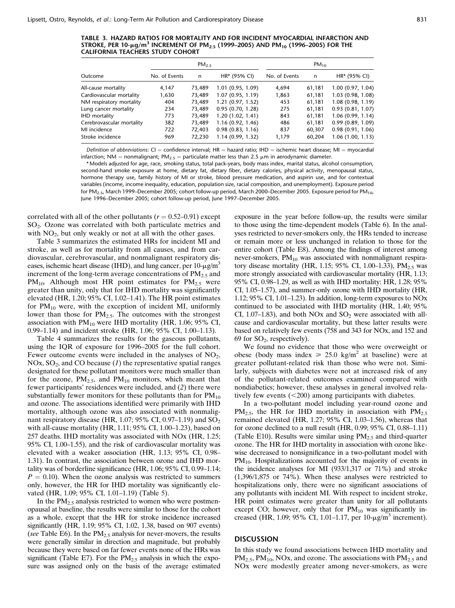TABLE 3. HAZARD RATIOS FOR MORTALITY AND FOR INCIDENT MYOCARDIAL INFARCTION AND STROKE, PER 10- $\mu$ g/m<sup>3</sup> INCREMENT OF PM<sub>2.5</sub> (1999–2005) AND PM<sub>10</sub> (1996–2005) FOR THE CALIFORNIA TEACHERS STUDY COHORT

|                           | PM <sub>25</sub> |        |                  | $PM_{10}$     |        |                  |
|---------------------------|------------------|--------|------------------|---------------|--------|------------------|
| Outcome                   | No. of Events    | n      | HR* (95% CI)     | No. of Events | n      | HR* (95% CI)     |
| All-cause mortality       | 4,147            | 73.489 | 1.01(0.95, 1.09) | 4,694         | 61,181 | 1.00(0.97, 1.04) |
| Cardiovascular mortality  | 1,630            | 73.489 | 1.07(0.95, 1.19) | 1,863         | 61,181 | 1.03(0.98, 1.08) |
| NM respiratory mortality  | 404              | 73.489 | 1.21(0.97, 1.52) | 453           | 61,181 | 1.08(0.98, 1.19) |
| Lung cancer mortality     | 234              | 73.489 | 0.95(0.70, 1.28) | 275           | 61,181 | 0.93(0.81, 1.07) |
| <b>IHD</b> mortality      | 773              | 73.489 | 1.20(1.02, 1.41) | 843           | 61,181 | 1.06(0.99, 1.14) |
| Cerebrovascular mortality | 382              | 73.489 | 1.16(0.92, 1.46) | 486           | 61,181 | 0.99(0.89, 1.09) |
| MI incidence              | 722              | 72.403 | 0.98(0.83, 1.16) | 837           | 60,307 | 0.98(0.91, 1.06) |
| Stroke incidence          | 969              | 72.230 | 1.14(0.99, 1.32) | 1,179         | 60,204 | 1.06(1.00, 1.13) |

Definition of abbreviations: CI = confidence interval; HR = hazard ratio; IHD = ischemic heart disease; MI = myocardial infarction; NM = nonmalignant; PM<sub>2.5</sub> = particulate matter less than 2.5  $\mu$ m in aerodynamic diameter.

\* Models adjusted for age, race, smoking status, total pack-years, body mass index, marital status, alcohol consumption, second-hand smoke exposure at home, dietary fat, dietary fiber, dietary calories, physical activity, menopausal status, hormone therapy use, family history of MI or stroke, blood pressure medication, and aspirin use, and for contextual variables (income, income inequality, education, population size, racial composition, and unemployment). Exposure period for PM<sub>2.5</sub>, March 1999–December 2005; cohort follow-up period, March 2000–December 2005. Exposure period for PM<sub>10</sub>, June 1996–December 2005; cohort follow-up period, June 1997–December 2005.

correlated with all of the other pollutants ( $r = 0.52{\text -}0.91$ ) except  $SO<sub>2</sub>$ . Ozone was correlated with both particulate metrics and with  $NO<sub>2</sub>$ , but only weakly or not at all with the other gases.

Table 3 summarizes the estimated HRs for incident MI and stroke, as well as for mortality from all causes, and from cardiovascular, cerebrovascular, and nonmalignant respiratory diseases, ischemic heart disease (IHD), and lung cancer, per  $10-\mu g/m^3$ increment of the long-term average concentrations of  $PM<sub>2.5</sub>$  and  $PM_{10}$ . Although most HR point estimates for  $PM_{2.5}$  were greater than unity, only that for IHD mortality was significantly elevated (HR, 1.20; 95% CI, 1.02–1.41). The HR point estimates for  $PM_{10}$  were, with the exception of incident MI, uniformly lower than those for  $PM_{2.5}$ . The outcomes with the strongest association with  $PM_{10}$  were IHD mortality (HR, 1.06; 95% CI, 0.99–1.14) and incident stroke (HR, 1.06; 95% CI, 1.00–1.13).

Table 4 summarizes the results for the gaseous pollutants, using the IQR of exposure for 1996–2005 for the full cohort. Fewer outcome events were included in the analyses of  $NO<sub>2</sub>$ , NOx,  $SO_2$ , and CO because (1) the representative spatial ranges designated for these pollutant monitors were much smaller than for the ozone,  $PM_{2.5}$ , and  $PM_{10}$  monitors, which meant that fewer participants' residences were included, and (2) there were substantially fewer monitors for these pollutants than for  $PM_{10}$ and ozone. The associations identified were primarily with IHD mortality, although ozone was also associated with nonmalignant respiratory disease (HR, 1.07; 95% CI, 0.97–1.19) and  $SO_2$ with all-cause mortality (HR, 1.11; 95% CI, 1.00–1.23), based on 257 deaths. IHD mortality was associated with NOx (HR, 1.25; 95% CI, 1.00–1.55), and the risk of cardiovascular mortality was elevated with a weaker association (HR, 1.13; 95% CI, 0.98– 1.31). In contrast, the association between ozone and IHD mortality was of borderline significance (HR, 1.06; 95% CI, 0.99–1.14;  $P = 0.10$ ). When the ozone analysis was restricted to summers only, however, the HR for IHD mortality was significantly elevated (HR, 1.09; 95% CI, 1.01–1.19) (Table 5).

In the  $PM<sub>2.5</sub>$  analysis restricted to women who were postmenopausal at baseline, the results were similar to those for the cohort as a whole, except that the HR for stroke incidence increased significantly (HR, 1.19; 95% CI, 1.02, 1.38, based on 907 events) (see Table E6). In the  $PM_{2.5}$  analysis for never-movers, the results were generally similar in direction and magnitude, but probably because they were based on far fewer events none of the HRs was significant (Table E7). For the  $PM_{2.5}$  analysis in which the exposure was assigned only on the basis of the average estimated

exposure in the year before follow-up, the results were similar to those using the time-dependent models (Table 6). In the analyses restricted to never-smokers only, the HRs tended to increase or remain more or less unchanged in relation to those for the entire cohort (Table E8). Among the findings of interest among never-smokers,  $PM_{10}$  was associated with nonmalignant respiratory disease mortality (HR, 1.15; 95% CI, 1.00–1.33),  $PM_2$ <sub>5</sub> was more strongly associated with cardiovascular mortality (HR, 1.13; 95% CI, 0.98–1.29, as well as with IHD mortality: HR, 1.28; 95% CI, 1.05–1.57), and summer-only ozone with IHD mortality (HR, 1.12; 95% CI, 1.01–1.23). In addition, long-term exposures to NOx continued to be associated with IHD mortality (HR, 1.40; 95% CI, 1.07–1.83), and both NOx and  $SO<sub>2</sub>$  were associated with allcause and cardiovascular mortality, but these latter results were based on relatively few events (758 and 343 for NOx, and 152 and 69 for  $SO_2$ , respectively).

We found no evidence that those who were overweight or obese (body mass index  $\geq 25.0 \text{ kg/m}^2$  at baseline) were at greater pollutant-related risk than those who were not. Similarly, subjects with diabetes were not at increased risk of any of the pollutant-related outcomes examined compared with nondiabetics; however, these analyses in general involved relatively few events  $( $200$ ) among participants with diabetes.$ 

In a two-pollutant model including year-round ozone and  $PM_{2.5}$ , the HR for IHD mortality in association with  $PM_{2.5}$ remained elevated (HR, 1.27; 95% CI, 1.03–1.56), whereas that for ozone declined to a null result (HR, 0.99; 95% CI, 0.88–1.11) (Table E10). Results were similar using  $PM_{2.5}$  and third-quarter ozone. The HR for IHD mortality in association with ozone likewise decreased to nonsignificance in a two-pollutant model with  $PM_{10}$ . Hospitalizations accounted for the majority of events in the incidence analyses for MI (933/1,317 or 71%) and stroke (1,396/1,875 or 74%). When these analyses were restricted to hospitalizations only, there were no significant associations of any pollutants with incident MI. With respect to incident stroke, HR point estimates were greater than unity for all pollutants except CO; however, only that for  $PM_{10}$  was significantly increased (HR, 1.09; 95% CI, 1.01–1.17, per 10- $\mu$ g/m<sup>3</sup> increment).

## **DISCUSSION**

In this study we found associations between IHD mortality and  $PM_{2.5}$ ,  $PM_{10}$ , NOx, and ozone. The associations with  $PM_{2.5}$  and NOx were modestly greater among never-smokers, as were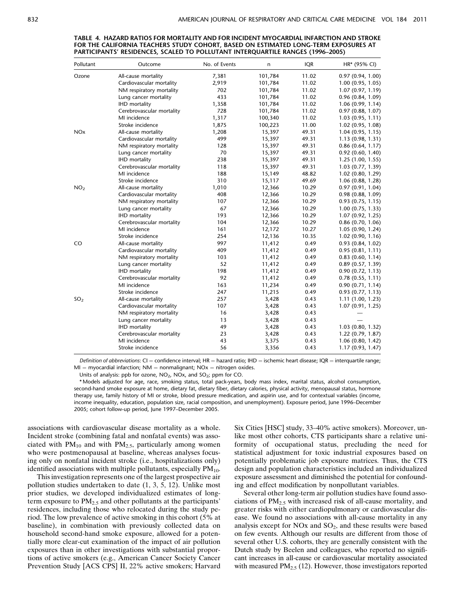| Pollutant             | Outcome                   | No. of Events | n       | <b>IQR</b> | HR* (95% CI)      |
|-----------------------|---------------------------|---------------|---------|------------|-------------------|
| Ozone                 | All-cause mortality       | 7,381         | 101,784 | 11.02      | 0.97(0.94, 1.00)  |
|                       | Cardiovascular mortality  | 2,919         | 101,784 | 11.02      | 1.00(0.95, 1.05)  |
|                       | NM respiratory mortality  | 702           | 101,784 | 11.02      | 1.07 (0.97, 1.19) |
|                       | Lung cancer mortality     | 433           | 101,784 | 11.02      | 0.96(0.84, 1.09)  |
|                       | <b>IHD</b> mortality      | 1,358         | 101,784 | 11.02      | 1.06 (0.99, 1.14) |
|                       | Cerebrovascular mortality | 728           | 101,784 | 11.02      | 0.97(0.88, 1.07)  |
|                       | MI incidence              | 1,317         | 100,340 | 11.02      | 1.03(0.95, 1.11)  |
|                       | Stroke incidence          | 1,875         | 100,223 | 11.00      | 1.02 (0.95, 1.08) |
| <b>NO<sub>x</sub></b> | All-cause mortality       | 1,208         | 15,397  | 49.31      | 1.04(0.95, 1.15)  |
|                       | Cardiovascular mortality  | 499           | 15,397  | 49.31      | 1.13 (0.98, 1.31) |
|                       | NM respiratory mortality  | 128           | 15,397  | 49.31      | 0.86(0.64, 1.17)  |
|                       | Lung cancer mortality     | 70            | 15,397  | 49.31      | 0.92(0.60, 1.40)  |
|                       | <b>IHD</b> mortality      | 238           | 15,397  | 49.31      | 1.25(1.00, 1.55)  |
|                       | Cerebrovascular mortality | 118           | 15,397  | 49.31      | 1.03 (0.77, 1.39) |
|                       | MI incidence              | 188           | 15,149  | 48.82      | 1.02(0.80, 1.29)  |
|                       | Stroke incidence          | 310           | 15,117  | 49.69      | 1.06(0.88, 1.28)  |
| NO <sub>2</sub>       | All-cause mortality       | 1,010         | 12,366  | 10.29      | 0.97(0.91, 1.04)  |
|                       | Cardiovascular mortality  | 408           | 12,366  | 10.29      | 0.98(0.88, 1.09)  |
|                       | NM respiratory mortality  | 107           | 12,366  | 10.29      | 0.93(0.75, 1.15)  |
|                       | Lung cancer mortality     | 67            | 12,366  | 10.29      | 1.00(0.75, 1.33)  |
|                       | <b>IHD</b> mortality      | 193           | 12,366  | 10.29      | 1.07(0.92, 1.25)  |
|                       | Cerebrovascular mortality | 104           | 12,366  | 10.29      | 0.86(0.70, 1.06)  |
|                       | MI incidence              | 161           | 12,172  | 10.27      | 1.05(0.90, 1.24)  |
|                       | Stroke incidence          | 254           | 12,136  | 10.35      | 1.02(0.90, 1.16)  |
| CO                    | All-cause mortality       | 997           | 11,412  | 0.49       | 0.93(0.84, 1.02)  |
|                       | Cardiovascular mortality  | 409           | 11,412  | 0.49       | 0.95(0.81, 1.11)  |
|                       | NM respiratory mortality  | 103           | 11,412  | 0.49       | 0.83(0.60, 1.14)  |
|                       | Lung cancer mortality     | 52            | 11,412  | 0.49       | 0.89(0.57, 1.39)  |
|                       | <b>IHD</b> mortality      | 198           | 11,412  | 0.49       | 0.90(0.72, 1.13)  |
|                       | Cerebrovascular mortality | 92            | 11,412  | 0.49       | 0.78(0.55, 1.11)  |
|                       | MI incidence              | 163           | 11,234  | 0.49       | 0.90(0.71, 1.14)  |
|                       | Stroke incidence          | 247           | 11,215  | 0.49       | 0.93(0.77, 1.13)  |
| SO <sub>2</sub>       | All-cause mortality       | 257           | 3,428   | 0.43       | 1.11 (1.00, 1.23) |
|                       | Cardiovascular mortality  | 107           | 3,428   | 0.43       | 1.07(0.91, 1.25)  |
|                       | NM respiratory mortality  | 16            | 3,428   | 0.43       |                   |
|                       | Lung cancer mortality     | 13            | 3,428   | 0.43       |                   |
|                       | <b>IHD</b> mortality      | 49            | 3,428   | 0.43       | 1.03 (0.80, 1.32) |
|                       | Cerebrovascular mortality | 23            | 3,428   | 0.43       | 1.22 (0.79, 1.87) |
|                       | MI incidence              | 43            | 3,375   | 0.43       | 1.06 (0.80, 1.42) |
|                       | Stroke incidence          | 56            | 3,356   | 0.43       | 1.17 (0.93, 1.47) |

TABLE 4. HAZARD RATIOS FOR MORTALITY AND FOR INCIDENT MYOCARDIAL INFARCTION AND STROKE FOR THE CALIFORNIA TEACHERS STUDY COHORT, BASED ON ESTIMATED LONG-TERM EXPOSURES AT PARTICIPANTS' RESIDENCES, SCALED TO POLLUTANT INTERQUARTILE RANGES (1996–2005)

Definition of abbreviations: CI = confidence interval; HR = hazard ratio; IHD = ischemic heart disease; IQR = interquartile range;  $MI = myocardial infarction; NM = nonmalignant; NOx = nitrogen oxides.$ 

Units of analysis: ppb for ozone, NO<sub>2</sub>, NOx, and SO<sub>2</sub>; ppm for CO.

\* Models adjusted for age, race, smoking status, total pack-years, body mass index, marital status, alcohol consumption, second-hand smoke exposure at home, dietary fat, dietary fiber, dietary calories, physical activity, menopausal status, hormone therapy use, family history of MI or stroke, blood pressure medication, and aspirin use, and for contextual variables (income, income inequality, education, population size, racial composition, and unemployment). Exposure period, June 1996–December 2005; cohort follow-up period, June 1997–December 2005.

associations with cardiovascular disease mortality as a whole. Incident stroke (combining fatal and nonfatal events) was associated with  $PM_{10}$  and with  $PM_{2.5}$ , particularly among women who were postmenopausal at baseline, whereas analyses focusing only on nonfatal incident stroke (i.e., hospitalizations only) identified associations with multiple pollutants, especially  $PM_{10}$ .

This investigation represents one of the largest prospective air pollution studies undertaken to date (1, 3, 5, 12). Unlike most prior studies, we developed individualized estimates of longterm exposure to  $PM_{2.5}$  and other pollutants at the participants' residences, including those who relocated during the study period. The low prevalence of active smoking in this cohort (5% at baseline), in combination with previously collected data on household second-hand smoke exposure, allowed for a potentially more clear-cut examination of the impact of air pollution exposures than in other investigations with substantial proportions of active smokers (e.g., American Cancer Society Cancer Prevention Study [ACS CPS] II, 22% active smokers; Harvard Six Cities [HSC] study, 33–40% active smokers). Moreover, unlike most other cohorts, CTS participants share a relative uniformity of occupational status, precluding the need for statistical adjustment for toxic industrial exposures based on potentially problematic job exposure matrices. Thus, the CTS design and population characteristics included an individualized exposure assessment and diminished the potential for confounding and effect modification by nonpollutant variables.

Several other long-term air pollution studies have found associations of  $PM_{2.5}$  with increased risk of all-cause mortality, and greater risks with either cardiopulmonary or cardiovascular disease. We found no associations with all-cause mortality in any analysis except for  $NOx$  and  $SO<sub>2</sub>$ , and these results were based on few events. Although our results are different from those of several other U.S. cohorts, they are generally consistent with the Dutch study by Beelen and colleagues, who reported no significant increases in all-cause or cardiovascular mortality associated with measured  $PM_{2,5}$  (12). However, those investigators reported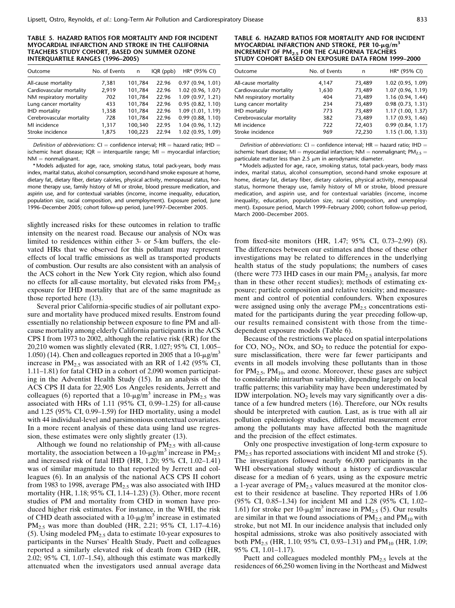TABLE 5. HAZARD RATIOS FOR MORTALITY AND FOR INCIDENT MYOCARDIAL INFARCTION AND STROKE IN THE CALIFORNIA TEACHERS STUDY COHORT, BASED ON SUMMER OZONE INTERQUARTILE RANGES (1996–2005)

| Outcome                   | No. of Events | n       | $IQR$ (ppb) | HR* (95% CI)      |
|---------------------------|---------------|---------|-------------|-------------------|
| All-cause mortality       | 7,381         | 101,784 | 22.96       | 0.97(0.94, 1.01)  |
| Cardiovascular mortality  | 2,919         | 101,784 | 22.96       | 1.02(0.96, 1.07)  |
| NM respiratory mortality  | 702           | 101,784 | 22.96       | 1.09(0.97, 1.21)  |
| Lung cancer mortality     | 433           | 101,784 | 22.96       | 0.95(0.82, 1.10)  |
| <b>IHD</b> mortality      | 1,358         | 101,784 | 22.96       | 1.09(1.01, 1.19)  |
| Cerebrovascular mortality | 728           | 101,784 | 22.96       | 0.99(0.88, 1.10)  |
| MI incidence              | 1,317         | 100,340 | 22.95       | 1.04 (0.96, 1.12) |
| Stroke incidence          | 1.875         | 100,223 | 22.94       | 1.02 (0.95, 1.09) |

Definition of abbreviations: CI = confidence interval; HR = hazard ratio; IHD = ischemic heart disease;  $IQR =$  interquartile range; MI = myocardial infarction;  $NM =$  nonmalignant.

\* Models adjusted for age, race, smoking status, total pack-years, body mass index, marital status, alcohol consumption, second-hand smoke exposure at home, dietary fat, dietary fiber, dietary calories, physical activity, menopausal status, hormone therapy use, family history of MI or stroke, blood pressure medication, and aspirin use, and for contextual variables (income, income inequality, education, population size, racial composition, and unemployment). Exposure period, June 1996–December 2005; cohort follow-up period, June1997–December 2005.

slightly increased risks for these outcomes in relation to traffic intensity on the nearest road. Because our analysis of NOx was limited to residences within either 3- or 5-km buffers, the elevated HRs that we observed for this pollutant may represent effects of local traffic emissions as well as transported products of combustion. Our results are also consistent with an analysis of the ACS cohort in the New York City region, which also found no effects for all-cause mortality, but elevated risks from  $PM<sub>2.5</sub>$ exposure for IHD mortality that are of the same magnitude as those reported here (13).

Several prior California-specific studies of air pollutant exposure and mortality have produced mixed results. Enstrom found essentially no relationship between exposure to fine PM and allcause mortality among elderly California participants in the ACS CPS I from 1973 to 2002, although the relative risk (RR) for the 20,210 women was slightly elevated (RR, 1.027; 95% CI, 1.005– 1.050) (14). Chen and colleagues reported in 2005 that a 10- $\mu$ g/m<sup>3</sup> increase in  $PM_{2.5}$  was associated with an RR of 1.42 (95% CI, 1.11–1.81) for fatal CHD in a cohort of 2,090 women participating in the Adventist Health Study (15). In an analysis of the ACS CPS II data for 22,905 Los Angeles residents, Jerrett and colleagues (6) reported that a 10- $\mu$ g/m<sup>3</sup> increase in PM<sub>2.5</sub> was associated with HRs of 1.11 (95% CI, 0.99–1.25) for all-cause and 1.25 (95% CI, 0.99–1.59) for IHD mortality, using a model with 44 individual-level and parsimonious contextual covariates. In a more recent analysis of these data using land use regression, these estimates were only slightly greater (13).

Although we found no relationship of  $PM_{2.5}$  with all-cause mortality, the association between a 10- $\mu$ g/m<sup>3</sup> increase in PM<sub>2.5</sub> and increased risk of fatal IHD (HR, 1.20; 95% CI, 1.02–1.41) was of similar magnitude to that reported by Jerrett and colleagues (6). In an analysis of the national ACS CPS II cohort from 1983 to 1998, average  $PM_{2.5}$  was also associated with IHD mortality (HR, 1.18; 95% CI, 1.14–1.23) (3). Other, more recent studies of PM and mortality from CHD in women have produced higher risk estimates. For instance, in the WHI, the risk of CHD death associated with a  $10-\mu g/m^3$  increase in estimated PM2.5 was more than doubled (HR, 2.21; 95% CI, 1.17–4.16) (5). Using modeled  $PM_{2.5}$  data to estimate 10-year exposures to participants in the Nurses' Health Study, Puett and colleagues reported a similarly elevated risk of death from CHD (HR, 2.02; 95% CI, 1.07–1.54), although this estimate was markedly attenuated when the investigators used annual average data

#### TABLE 6. HAZARD RATIOS FOR MORTALITY AND FOR INCIDENT MYOCARDIAL INFARCTION AND STROKE, PER  $10-\mu q/m^3$ INCREMENT OF PM<sub>2.5</sub> FOR THE CALIFORNIA TEACHERS STUDY COHORT BASED ON EXPOSURE DATA FROM 1999–2000

| No. of Events | n      | HR* (95% CI)      |  |
|---------------|--------|-------------------|--|
| 4,147         | 73,489 | 1.02 (0.95, 1.09) |  |
| 1,630         | 73,489 | 1.07(0.96, 1.19)  |  |
| 404           | 73,489 | 1.16(0.94, 1.44)  |  |
| 234           | 73,489 | 0.98(0.73, 1.31)  |  |
| 773           | 73,489 | 1.17(1.00, 1.37)  |  |
| 382           | 73,489 | 1.17(0.93, 1.46)  |  |
| 722           | 72,403 | 0.99(0.84, 1.17)  |  |
| 969           | 72,230 | 1.15(1.00, 1.33)  |  |
|               |        |                   |  |

Definition of abbreviations: CI = confidence interval; HR = hazard ratio; IHD = ischemic heart disease; MI = myocardial infarction; NM = nonmalignant;  $PM_{2.5}$  = particulate matter less than 2.5  $\mu$ m in aerodynamic diameter.

\* Models adjusted for age, race, smoking status, total pack-years, body mass index, marital status, alcohol consumption, second-hand smoke exposure at home, dietary fat, dietary fiber, dietary calories, physical activity, menopausal status, hormone therapy use, family history of MI or stroke, blood pressure medication, and aspirin use, and for contextual variables (income, income inequality, education, population size, racial composition, and unemployment). Exposure period, March 1999–February 2000; cohort follow-up period, March 2000–December 2005.

from fixed-site monitors (HR, 1.47; 95% CI, 0.73–2.99) (8). The differences between our estimates and those of these other investigations may be related to differences in the underlying health status of the study populations; the numbers of cases (there were 773 IHD cases in our main  $PM<sub>2.5</sub>$  analysis, far more than in these other recent studies); methods of estimating exposure; particle composition and relative toxicity; and measurement and control of potential confounders. When exposures were assigned using only the average  $PM_{2.5}$  concentrations estimated for the participants during the year preceding follow-up, our results remained consistent with those from the timedependent exposure models (Table 6).

Because of the restrictions we placed on spatial interpolations for CO,  $NO<sub>2</sub>$ , NOx, and  $SO<sub>2</sub>$  to reduce the potential for exposure misclassification, there were far fewer participants and events in all models involving these pollutants than in those for  $PM_{2.5}$ ,  $PM_{10}$ , and ozone. Moreover, these gases are subject to considerable intraurban variability, depending largely on local traffic patterns; this variability may have been underestimated by IDW interpolation.  $NO<sub>2</sub>$  levels may vary significantly over a distance of a few hundred meters (16). Therefore, our NOx results should be interpreted with caution. Last, as is true with all air pollution epidemiology studies, differential measurement error among the pollutants may have affected both the magnitude and the precision of the effect estimates.

Only one prospective investigation of long-term exposure to  $PM_{2,5}$  has reported associations with incident MI and stroke (5). The investigators followed nearly 66,000 participants in the WHI observational study without a history of cardiovascular disease for a median of 6 years, using as the exposure metric a 1-year average of  $PM_{2.5}$  values measured at the monitor closest to their residence at baseline. They reported HRs of 1.06 (95% CI, 0.85–1.34) for incident MI and 1.28 (95% CI, 1.02– 1.61) for stroke per 10- $\mu$ g/m<sup>3</sup> increase in PM<sub>2.5</sub> (5). Our results are similar in that we found associations of  $PM_{2.5}$  and  $PM_{10}$  with stroke, but not MI. In our incidence analysis that included only hospital admissions, stroke was also positively associated with both PM<sub>2.5</sub> (HR, 1.10; 95% CI, 0.93–1.31) and PM<sub>10</sub> (HR, 1.09; 95% CI, 1.01–1.17).

Puett and colleagues modeled monthly  $PM_{2.5}$  levels at the residences of 66,250 women living in the Northeast and Midwest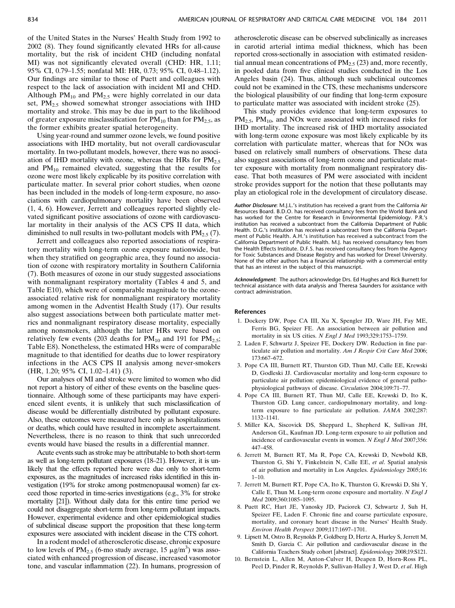of the United States in the Nurses' Health Study from 1992 to 2002 (8). They found significantly elevated HRs for all-cause mortality, but the risk of incident CHD (including nonfatal MI) was not significantly elevated overall (CHD: HR, 1.11; 95% CI, 0.79–1.55; nonfatal MI: HR, 0.73; 95% CI, 0.48–1.12). Our findings are similar to those of Puett and colleagues with respect to the lack of association with incident MI and CHD. Although  $PM_{10}$  and  $PM_{25}$  were highly correlated in our data set, PM<sub>2.5</sub> showed somewhat stronger associations with IHD mortality and stroke. This may be due in part to the likelihood of greater exposure misclassification for  $PM_{10}$  than for  $PM_{2.5}$ , as the former exhibits greater spatial heterogeneity.

Using year-round and summer ozone levels, we found positive associations with IHD mortality, but not overall cardiovascular mortality. In two-pollutant models, however, there was no association of IHD mortality with ozone, whereas the HRs for  $PM_{2.5}$ and PM10 remained elevated, suggesting that the results for ozone were most likely explicable by its positive correlation with particulate matter. In several prior cohort studies, when ozone has been included in the models of long-term exposure, no associations with cardiopulmonary mortality have been observed (1, 4, 6). However, Jerrett and colleagues reported slightly elevated significant positive associations of ozone with cardiovascular mortality in their analysis of the ACS CPS II data, which diminished to null results in two-pollutant models with  $PM_{2.5}$  (7).

Jerrett and colleagues also reported associations of respiratory mortality with long-term ozone exposure nationwide, but when they stratified on geographic area, they found no association of ozone with respiratory mortality in Southern California (7). Both measures of ozone in our study suggested associations with nonmalignant respiratory mortality (Tables 4 and 5, and Table E10), which were of comparable magnitude to the ozoneassociated relative risk for nonmalignant respiratory mortality among women in the Adventist Health Study (17). Our results also suggest associations between both particulate matter metrics and nonmalignant respiratory disease mortality, especially among nonsmokers, although the latter HRs were based on relatively few events (203 deaths for  $PM_{10}$  and 191 for  $PM_{2.5}$ ; Table E8). Nonetheless, the estimated HRs were of comparable magnitude to that identified for deaths due to lower respiratory infections in the ACS CPS II analysis among never-smokers (HR, 1.20; 95% CI, 1.02–1.41) (3).

Our analyses of MI and stroke were limited to women who did not report a history of either of these events on the baseline questionnaire. Although some of these participants may have experienced silent events, it is unlikely that such misclassification of disease would be differentially distributed by pollutant exposure. Also, these outcomes were measured here only as hospitalizations or deaths, which could have resulted in incomplete ascertainment. Nevertheless, there is no reason to think that such unrecorded events would have biased the results in a differential manner.

Acute events such as stroke may be attributable to both short-term as well as long-term pollutant exposures (18–21). However, it is unlikely that the effects reported here were due only to short-term exposures, as the magnitudes of increased risks identified in this investigation (19% for stroke among postmenopausal women) far exceed those reported in time-series investigations (e.g., 3% for stroke mortality [21]). Without daily data for this entire time period we could not disaggregate short-term from long-term pollutant impacts. However, experimental evidence and other epidemiological studies of subclinical disease support the proposition that these long-term exposures were associated with incident disease in the CTS cohort.

In a rodent model of atherosclerotic disease, chronic exposure to low levels of  $PM_{2.5}$  (6-mo study average, 15  $\mu$ g/m<sup>3</sup>) was associated with enhanced progression of disease, increased vasomotor tone, and vascular inflammation (22). In humans, progression of atherosclerotic disease can be observed subclinically as increases in carotid arterial intima medial thickness, which has been reported cross-sectionally in association with estimated residential annual mean concentrations of  $PM_{2.5}$  (23) and, more recently, in pooled data from five clinical studies conducted in the Los Angeles basin (24). Thus, although such subclinical outcomes could not be examined in the CTS, these mechanisms underscore the biological plausibility of our finding that long-term exposure to particulate matter was associated with incident stroke (25).

This study provides evidence that long-term exposures to  $PM_{2.5}$ ,  $PM_{10}$ , and NOx were associated with increased risks for IHD mortality. The increased risk of IHD mortality associated with long-term ozone exposure was most likely explicable by its correlation with particulate matter, whereas that for NOx was based on relatively small numbers of observations. These data also suggest associations of long-term ozone and particulate matter exposure with mortality from nonmalignant respiratory disease. That both measures of PM were associated with incident stroke provides support for the notion that these pollutants may play an etiological role in the development of circulatory disease.

Author Disclosure: M.J.L.'s institution has received a grant from the California Air Resources Board. B.D.O. has received consultancy fees from the World Bank and has worked for the Centre for Research in Environmental Epidemiology. P.R.'s institution has received a subcontract from the California Department of Public Health. D.G.'s institution has received a subcontract from the California Department of Public Health. A.H.'s institution has received a subcontract from the California Department of Public Health. M.J. has received consultancy fees from the Health Effects Institute. D.F.S. has received consultancy fees from the Agency for Toxic Substances and Disease Registry and has worked for Drexel University. None of the other authors has a financial relationship with a commercial entity that has an interest in the subject of this manuscript.

Acknowledgment: The authors acknowledge Drs. Ed Hughes and Rick Burnett for technical assistance with data analysis and Theresa Saunders for assistance with contract administration.

#### References

- 1. Dockery DW, Pope CA III, Xu X, Spengler JD, Ware JH, Fay ME, Ferris BG, Speizer FE. An association between air pollution and mortality in six US cities. N Engl J Med 1993;329:1753–1759.
- 2. Laden F, Schwartz J, Speizer FE, Dockery DW. Reduction in fine particulate air pollution and mortality. Am J Respir Crit Care Med 2006; 173:667–672.
- 3. Pope CA III, Burnett RT, Thurston GD, Thun MJ, Calle EE, Krewski D, Godleski JJ. Cardiovascular mortality and long-term exposure to particulate air pollution: epidemiological evidence of general pathophysiological pathways of disease. Circulation 2004;109:71–77.
- 4. Pope CA III, Burnett RT, Thun MJ, Calle EE, Krewski D, Ito K, Thurston GD. Lung cancer, cardiopulmonary mortality, and longterm exposure to fine particulate air pollution. JAMA 2002;287: 1132–1141.
- 5. Miller KA, Siscovick DS, Sheppard L, Shepherd K, Sullivan JH, Anderson GL, Kaufman JD. Long-term exposure to air pollution and incidence of cardiovascular events in women. N Engl J Med 2007;356: 447–458.
- 6. Jerrett M, Burnett RT, Ma R, Pope CA, Krewski D, Newbold KB, Thurston G, Shi Y, Finkelstein N, Calle EE, et al. Spatial analysis of air pollution and mortality in Los Angeles. Epidemiology 2005;16: 1–10.
- 7. Jerrett M, Burnett RT, Pope CA, Ito K, Thurston G, Krewski D, Shi Y, Calle E, Thun M. Long-term ozone exposure and mortality. N Engl J Med 2009;360:1085–1095.
- 8. Puett RC, Hart JE, Yanosky JD, Paciorek CJ, Schwartz J, Suh H, Speizer FE, Laden F. Chronic fine and coarse particulate exposure, mortality, and coronary heart disease in the Nurses' Health Study. Environ Health Perspect 2009;117:1697–1701.
- 9. Lipsett M, Ostro B, Reynolds P, Goldberg D, Hertz A, Hurley S, Jerrett M, Smith D, Garcia C. Air pollution and cardiovascular disease in the California Teachers Study cohort [abstract]. Epidemiology 2008;19:S121.
- 10. Bernstein L, Allen M, Anton-Culver H, Deapen D, Horn-Ross PL, Peel D, Pinder R, Reynolds P, Sullivan-Halley J, West D, et al. High